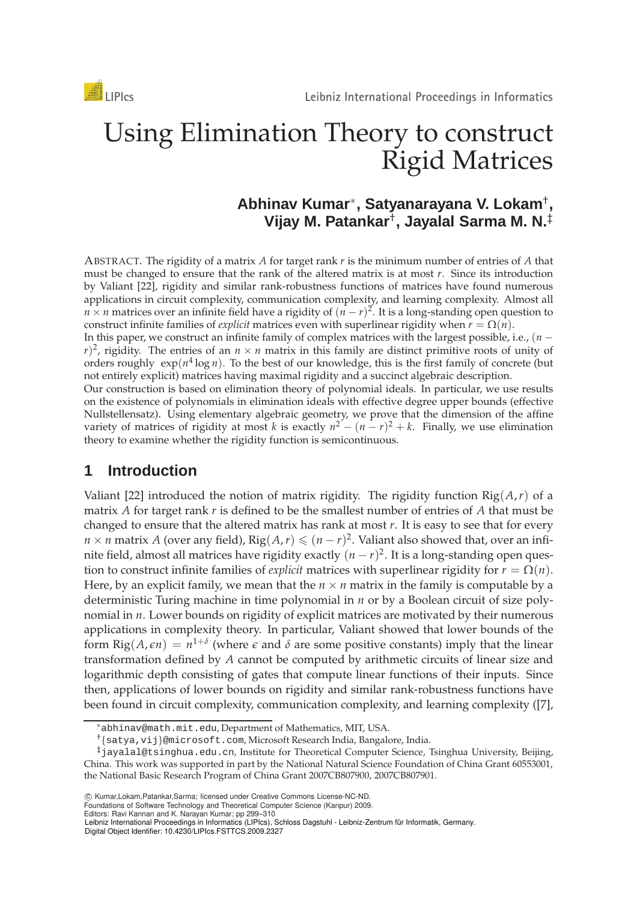# Using Elimination Theory to construct Rigid Matrices

# **Abhinav Kumar**∗ **, Satyanarayana V. Lokam**† **, Vijay M. Patankar**† **, Jayalal Sarma M. N.**‡

ABSTRACT. The rigidity of a matrix *A* for target rank *r* is the minimum number of entries of *A* that must be changed to ensure that the rank of the altered matrix is at most *r*. Since its introduction by Valiant [22], rigidity and similar rank-robustness functions of matrices have found numerous applications in circuit complexity, communication complexity, and learning complexity. Almost all *n* × *n* matrices over an infinite field have a rigidity of  $(n - r)^2$ . It is a long-standing open question to construct infinite families of *explicit* matrices even with superlinear rigidity when  $r = \Omega(n)$ .

In this paper, we construct an infinite family of complex matrices with the largest possible, i.e., (*n* −  $r$ <sup>2</sup>, rigidity. The entries of an  $n \times n$  matrix in this family are distinct primitive roots of unity of orders roughly  $\exp(n^4 \log n)$ . To the best of our knowledge, this is the first family of concrete (but not entirely explicit) matrices having maximal rigidity and a succinct algebraic description.

Our construction is based on elimination theory of polynomial ideals. In particular, we use results on the existence of polynomials in elimination ideals with effective degree upper bounds (effective Nullstellensatz). Using elementary algebraic geometry, we prove that the dimension of the affine variety of matrices of rigidity at most *k* is exactly  $n^2 - (n - r)^2 + k$ . Finally, we use elimination theory to examine whether the rigidity function is semicontinuous.

# **1 Introduction**

Valiant [22] introduced the notion of matrix rigidity. The rigidity function Rig(*A*,*r*) of a matrix *A* for target rank *r* is defined to be the smallest number of entries of *A* that must be changed to ensure that the altered matrix has rank at most *r*. It is easy to see that for every *n* × *n* matrix *A* (over any field),  $\text{Rig}(A, r) \leq (n - r)^2$ . Valiant also showed that, over an infinite field, almost all matrices have rigidity exactly  $(n - r)^2$ . It is a long-standing open question to construct infinite families of *explicit* matrices with superlinear rigidity for  $r = \Omega(n)$ . Here, by an explicit family, we mean that the  $n \times n$  matrix in the family is computable by a deterministic Turing machine in time polynomial in *n* or by a Boolean circuit of size polynomial in *n*. Lower bounds on rigidity of explicit matrices are motivated by their numerous applications in complexity theory. In particular, Valiant showed that lower bounds of the form  $\text{Rig}(A,\epsilon n) = n^{1+\delta}$  (where  $\epsilon$  and  $\delta$  are some positive constants) imply that the linear transformation defined by *A* cannot be computed by arithmetic circuits of linear size and logarithmic depth consisting of gates that compute linear functions of their inputs. Since then, applications of lower bounds on rigidity and similar rank-robustness functions have been found in circuit complexity, communication complexity, and learning complexity ([7],

<sup>∗</sup>abhinav@math.mit.edu, Department of Mathematics, MIT, USA.

<sup>†</sup>{satya,vij}@microsoft.com, Microsoft Research India, Bangalore, India.

<sup>‡</sup>jayalal@tsinghua.edu.cn, Institute for Theoretical Computer Science, Tsinghua University, Beijing, China. This work was supported in part by the National Natural Science Foundation of China Grant 60553001, the National Basic Research Program of China Grant 2007CB807900, 2007CB807901.

<sup>(</sup>C) Kumar,Lokam,Patankar,Sarma; licensed under Creative Commons License-NC-ND.

Foundations of Software Technology and Theoretical Computer Science (Kanpur) 2009.

Editors: Ravi Kannan and K. Narayan Kumar; pp 299–310

Leibniz International Proceedings in Informatics (LIPIcs), Schloss Dagstuhl - Leibniz-Zentrum für Informatik, Germany. Digital Object Identifier: 10.4230/LIPIcs.FSTTCS.2009.2327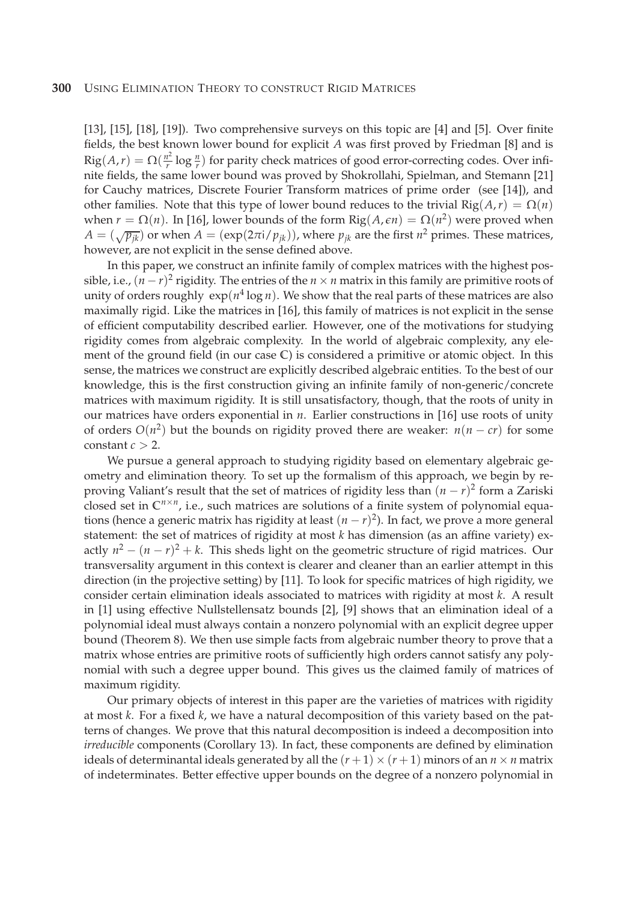[13], [15], [18], [19]). Two comprehensive surveys on this topic are [4] and [5]. Over finite fields, the best known lower bound for explicit *A* was first proved by Friedman [8] and is  $\operatorname{Rig}(A, r) = \Omega(\frac{n^2}{r})$  $\frac{n^2}{r} \log \frac{n}{r}$  for parity check matrices of good error-correcting codes. Over infinite fields, the same lower bound was proved by Shokrollahi, Spielman, and Stemann [21] for Cauchy matrices, Discrete Fourier Transform matrices of prime order (see [14]), and other families. Note that this type of lower bound reduces to the trivial  $\text{Rig}(A,r) = \Omega(n)$ when  $r = \Omega(n)$ . In [16], lower bounds of the form  $\text{Rig}(A, \epsilon n) = \Omega(n^2)$  were proved when  $A = (\sqrt{p_{jk}})$  or when  $A = (e^{i\pi/2} p_{jk})$ , where  $p_{jk}$  are the first  $n^2$  primes. These matrices, however, are not explicit in the sense defined above.

In this paper, we construct an infinite family of complex matrices with the highest possible, i.e.,  $(n - r)^2$  rigidity. The entries of the  $n \times n$  matrix in this family are primitive roots of unity of orders roughly  $\exp(n^4 \log n)$ . We show that the real parts of these matrices are also maximally rigid. Like the matrices in [16], this family of matrices is not explicit in the sense of efficient computability described earlier. However, one of the motivations for studying rigidity comes from algebraic complexity. In the world of algebraic complexity, any element of the ground field (in our case **C**) is considered a primitive or atomic object. In this sense, the matrices we construct are explicitly described algebraic entities. To the best of our knowledge, this is the first construction giving an infinite family of non-generic/concrete matrices with maximum rigidity. It is still unsatisfactory, though, that the roots of unity in our matrices have orders exponential in *n*. Earlier constructions in [16] use roots of unity of orders  $O(n^2)$  but the bounds on rigidity proved there are weaker:  $n(n - cr)$  for some constant  $c > 2$ .

We pursue a general approach to studying rigidity based on elementary algebraic geometry and elimination theory. To set up the formalism of this approach, we begin by reproving Valiant's result that the set of matrices of rigidity less than (*n* − *r*) 2 form a Zariski closed set in  $\mathbb{C}^{n \times n}$ , i.e., such matrices are solutions of a finite system of polynomial equations (hence a generic matrix has rigidity at least (*n* − *r*) 2 ). In fact, we prove a more general statement: the set of matrices of rigidity at most *k* has dimension (as an affine variety) exactly  $n^2 - (n - r)^2 + k$ . This sheds light on the geometric structure of rigid matrices. Our transversality argument in this context is clearer and cleaner than an earlier attempt in this direction (in the projective setting) by [11]. To look for specific matrices of high rigidity, we consider certain elimination ideals associated to matrices with rigidity at most *k*. A result in [1] using effective Nullstellensatz bounds [2], [9] shows that an elimination ideal of a polynomial ideal must always contain a nonzero polynomial with an explicit degree upper bound (Theorem 8). We then use simple facts from algebraic number theory to prove that a matrix whose entries are primitive roots of sufficiently high orders cannot satisfy any polynomial with such a degree upper bound. This gives us the claimed family of matrices of maximum rigidity.

Our primary objects of interest in this paper are the varieties of matrices with rigidity at most *k*. For a fixed *k*, we have a natural decomposition of this variety based on the patterns of changes. We prove that this natural decomposition is indeed a decomposition into *irreducible* components (Corollary 13). In fact, these components are defined by elimination ideals of determinantal ideals generated by all the  $(r + 1) \times (r + 1)$  minors of an  $n \times n$  matrix of indeterminates. Better effective upper bounds on the degree of a nonzero polynomial in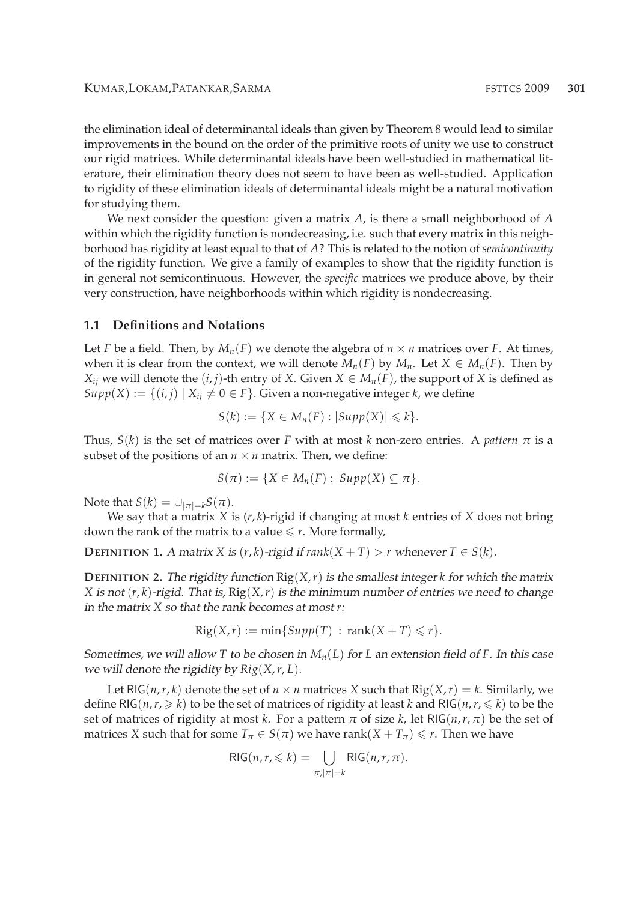the elimination ideal of determinantal ideals than given by Theorem 8 would lead to similar improvements in the bound on the order of the primitive roots of unity we use to construct our rigid matrices. While determinantal ideals have been well-studied in mathematical literature, their elimination theory does not seem to have been as well-studied. Application to rigidity of these elimination ideals of determinantal ideals might be a natural motivation for studying them.

We next consider the question: given a matrix *A*, is there a small neighborhood of *A* within which the rigidity function is nondecreasing, i.e. such that every matrix in this neighborhood has rigidity at least equal to that of *A*? This is related to the notion of *semicontinuity* of the rigidity function. We give a family of examples to show that the rigidity function is in general not semicontinuous. However, the *specific* matrices we produce above, by their very construction, have neighborhoods within which rigidity is nondecreasing.

#### **1.1 Definitions and Notations**

Let *F* be a field. Then, by  $M_n(F)$  we denote the algebra of  $n \times n$  matrices over *F*. At times, when it is clear from the context, we will denote  $M_n(F)$  by  $M_n$ . Let  $X \in M_n(F)$ . Then by *X*<sup>*i*</sup> we will denote the  $(i, j)$ -th entry of *X*. Given  $X \in M_n(F)$ , the support of *X* is defined as  $Supp(X) := \{(i, j) | X_{ij} \neq 0 \in F\}$ . Given a non-negative integer *k*, we define

$$
S(k) := \{ X \in M_n(F) : |Supp(X)| \leq k \}.
$$

Thus,  $S(k)$  is the set of matrices over *F* with at most *k* non-zero entries. A *pattern*  $\pi$  is a subset of the positions of an  $n \times n$  matrix. Then, we define:

$$
S(\pi) := \{ X \in M_n(F) : \, Supp(X) \subseteq \pi \}.
$$

Note that  $S(k) = \bigcup_{|\pi|=k} S(\pi)$ .

We say that a matrix *X* is (*r*, *k*)-rigid if changing at most *k* entries of *X* does not bring down the rank of the matrix to a value  $\leq r$ . More formally,

**DEFINITION 1.** A matrix *X* is  $(r, k)$ -rigid if  $rank(X + T) > r$  whenever  $T \in S(k)$ .

**DEFINITION 2.** The rigidity function  $\text{Rig}(X,r)$  is the smallest integer *k* for which the matrix *X* is not  $(r, k)$ -rigid. That is,  $\text{Rig}(X, r)$  is the minimum number of entries we need to change in the matrix *X* so that the rank becomes at most *r*:

$$
Rig(X,r) := \min\{Supp(T) : \text{rank}(X+T) \leq r\}.
$$

Sometimes, we will allow *T* to be chosen in  $M_n(L)$  for *L* an extension field of *F*. In this case we will denote the rigidity by *Rig*(*X*,*r*, *L*).

Let RIG(*n*,*r*,*k*) denote the set of  $n \times n$  matrices *X* such that  $\text{Rig}(X,r) = k$ . Similarly, we define RIG( $n, r, \ge k$ ) to be the set of matrices of rigidity at least *k* and RIG( $n, r \le k$ ) to be the set of matrices of rigidity at most *k*. For a pattern  $\pi$  of size *k*, let RIG( $n, r, \pi$ ) be the set of matrices *X* such that for some  $T_\pi \in S(\pi)$  we have rank $(X + T_\pi) \leq r$ . Then we have

$$
RIG(n, r, \leq k) = \bigcup_{\pi, |\pi| = k} RIG(n, r, \pi).
$$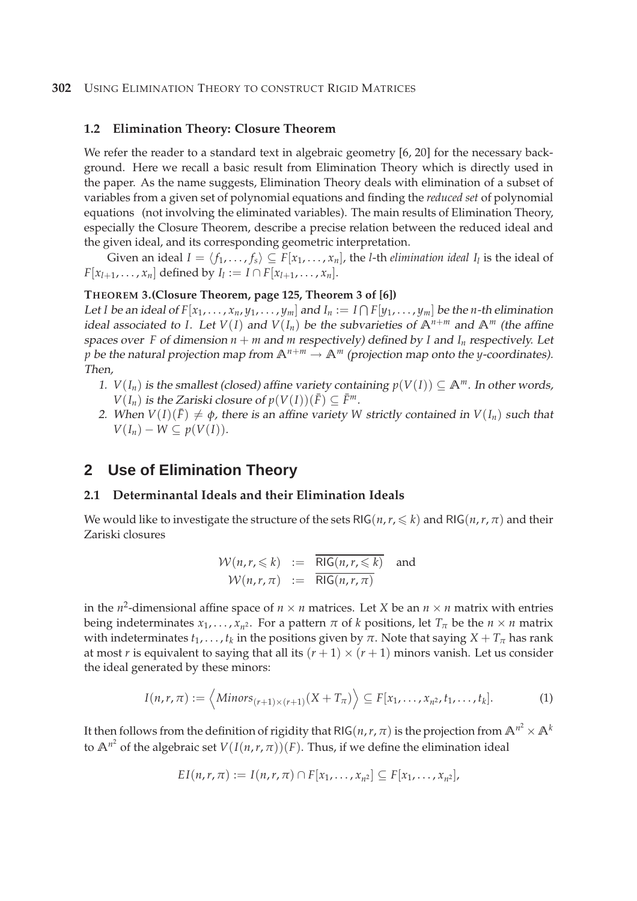#### **302** USING ELIMINATION THEORY TO CONSTRUCT RIGID MATRICES

#### **1.2 Elimination Theory: Closure Theorem**

We refer the reader to a standard text in algebraic geometry [6, 20] for the necessary background. Here we recall a basic result from Elimination Theory which is directly used in the paper. As the name suggests, Elimination Theory deals with elimination of a subset of variables from a given set of polynomial equations and finding the *reduced set* of polynomial equations (not involving the eliminated variables). The main results of Elimination Theory, especially the Closure Theorem, describe a precise relation between the reduced ideal and the given ideal, and its corresponding geometric interpretation.

Given an ideal  $I = \langle f_1, \ldots, f_s \rangle \subseteq F[x_1, \ldots, x_n]$ , the *l*-th *elimination ideal I*<sub>*l*</sub> is the ideal of  $F[x_{l+1},...,x_n]$  defined by  $I_l := I \cap F[x_{l+1},...,x_n]$ .

#### **THEOREM 3.(Closure Theorem, page 125, Theorem 3 of [6])**

Let *I* be an ideal of  $F[x_1, \ldots, x_n, y_1, \ldots, y_m]$  and  $I_n := I \cap F[y_1, \ldots, y_m]$  be the *n*-th elimination ideal associated to *I*. Let  $V(I)$  and  $V(I_n)$  be the subvarieties of  $A^{n+m}$  and  $A^m$  (the affine spaces over *F* of dimension  $n + m$  and  $m$  respectively) defined by *I* and  $I_n$  respectively. Let *p* be the natural projection map from  $\mathbb{A}^{n+m} \to \mathbb{A}^m$  (projection map onto the *y*-coordinates). Then,

- 1. *V*( $I_n$ ) is the smallest (closed) affine variety containing  $p(V(I)) \subseteq \mathbb{A}^m$ . In other words, *V*(*I<sub>n</sub>*) *is the Zariski closure of*  $p(V(I))$ (*F*) ⊆  $\bar{F}^m$ .
- 2. When  $V(I)(\bar{F}) \neq \phi$ , there is an affine variety *W* strictly contained in  $V(I_n)$  such that  $V(I_n) - W \subseteq p(V(I)).$

## **2 Use of Elimination Theory**

#### **2.1 Determinantal Ideals and their Elimination Ideals**

We would like to investigate the structure of the sets RIG( $n, r, \leq k$ ) and RIG( $n, r, \pi$ ) and their Zariski closures

$$
\mathcal{W}(n, r, \leq k) := \frac{\overline{\text{RIG}(n, r, \leq k)}}{\text{RIG}(n, r, \pi)} \quad \text{and} \quad \mathcal{W}(n, r, \pi) := \frac{\overline{\text{RIG}(n, r, \leq k)}}{\text{RIG}(n, r, \pi)}
$$

in the  $n^2$ -dimensional affine space of  $n \times n$  matrices. Let *X* be an  $n \times n$  matrix with entries being indeterminates  $x_1, \ldots, x_{n^2}$ . For a pattern  $\pi$  of  $k$  positions, let  $T_{\pi}$  be the  $n \times n$  matrix with indeterminates  $t_1, \ldots, t_k$  in the positions given by  $\pi.$  Note that saying  $X + T_{\pi}$  has rank at most *r* is equivalent to saying that all its  $(r + 1) \times (r + 1)$  minors vanish. Let us consider the ideal generated by these minors:

$$
I(n,r,\pi) := \left\langle Minors_{(r+1)\times(r+1)}(X+T_{\pi})\right\rangle \subseteq F[x_1,\ldots,x_{n^2},t_1,\ldots,t_k].
$$
 (1)

It then follows from the definition of rigidity that RIG(*n*,*r*, *π*) is the projection from  $\mathbb{A}^{n^2} \times \mathbb{A}^k$ to  $\mathbb{A}^{n^2}$  of the algebraic set  $V(I(n,r,\pi))(F)$ . Thus, if we define the elimination ideal

$$
EI(n,r,\pi) := I(n,r,\pi) \cap F[x_1,\ldots,x_{n^2}] \subseteq F[x_1,\ldots,x_{n^2}],
$$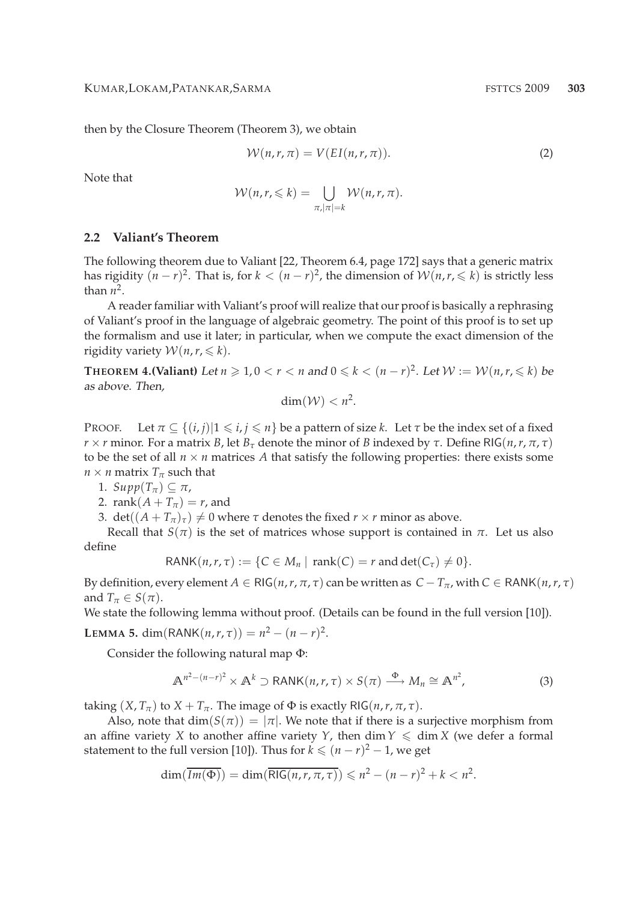then by the Closure Theorem (Theorem 3), we obtain

$$
W(n,r,\pi) = V(EI(n,r,\pi)).
$$
\n(2)

Note that

$$
\mathcal{W}(n,r,\leq k)=\bigcup_{\pi,|\pi|=k}\mathcal{W}(n,r,\pi).
$$

#### **2.2 Valiant's Theorem**

The following theorem due to Valiant [22, Theorem 6.4, page 172] says that a generic matrix has rigidity  $(n - r)^2$ . That is, for  $k < (n - r)^2$ , the dimension of  $\mathcal{W}(n, r, \leq k)$  is strictly less than  $n^2$ .

A reader familiar with Valiant's proof will realize that our proof is basically a rephrasing of Valiant's proof in the language of algebraic geometry. The point of this proof is to set up the formalism and use it later; in particular, when we compute the exact dimension of the rigidity variety  $W(n, r, \leq k)$ .

**THEOREM 4.(Valiant)** Let  $n \ge 1, 0 < r < n$  and  $0 \le k < (n - r)^2$ . Let  $\mathcal{W} := \mathcal{W}(n, r, \le k)$  be as above. Then,

$$
\dim(\mathcal{W}) < n^2.
$$

PROOF. Let  $\pi \subseteq \{(i, j) | 1 \leq i, j \leq n\}$  be a pattern of size *k*. Let  $\tau$  be the index set of a fixed *r* × *r* minor. For a matrix *B*, let *B*<sub>*τ*</sub> denote the minor of *B* indexed by *τ*. Define RIG(*n*,*r*, *π*, *τ*) to be the set of all  $n \times n$  matrices A that satisfy the following properties: there exists some  $n \times n$  matrix  $T_\pi$  such that

1.  $Supp(T_\pi) \subseteq \pi$ ,

2. rank $(A + T_\pi) = r$ , and

3. det( $(A + T_{\pi})_{\tau}$ )  $\neq$  0 where  $\tau$  denotes the fixed  $r \times r$  minor as above.

Recall that *S*(*π*) is the set of matrices whose support is contained in *π*. Let us also define

$$
RANK(n,r,\tau) := \{C \in M_n \mid \text{rank}(C) = r \text{ and } \text{det}(C_{\tau}) \neq 0\}.
$$

By definition, every element  $A \in \text{RIG}(n, r, \pi, \tau)$  can be written as  $C - T_{\pi}$ , with  $C \in \text{RANK}(n, r, \tau)$ and  $T_\pi \in S(\pi)$ .

We state the following lemma without proof. (Details can be found in the full version [10]).

**LEMMA 5.** dim(RANK(*n*,*r*, *τ*)) =  $n^2 - (n - r)^2$ .

Consider the following natural map Φ:

$$
\mathbb{A}^{n^2 - (n-r)^2} \times \mathbb{A}^k \supset \text{RANK}(n, r, \tau) \times S(\pi) \xrightarrow{\Phi} M_n \cong \mathbb{A}^{n^2}, \tag{3}
$$

taking  $(X, T_\pi)$  to  $X + T_\pi$ . The image of  $\Phi$  is exactly RIG(*n*,*r*,  $\pi$ ,  $\tau$ ).

Also, note that  $dim(S(\pi)) = |\pi|$ . We note that if there is a surjective morphism from an affine variety *X* to another affine variety *Y*, then dim  $Y \leq \dim X$  (we defer a formal statement to the full version [10]). Thus for  $k \leqslant (n - r)^2 - 1$ , we get

$$
\dim(\overline{Im(\Phi)}) = \dim(\overline{RIG(n, r, \pi, \tau)}) \leqslant n^2 - (n - r)^2 + k < n^2.
$$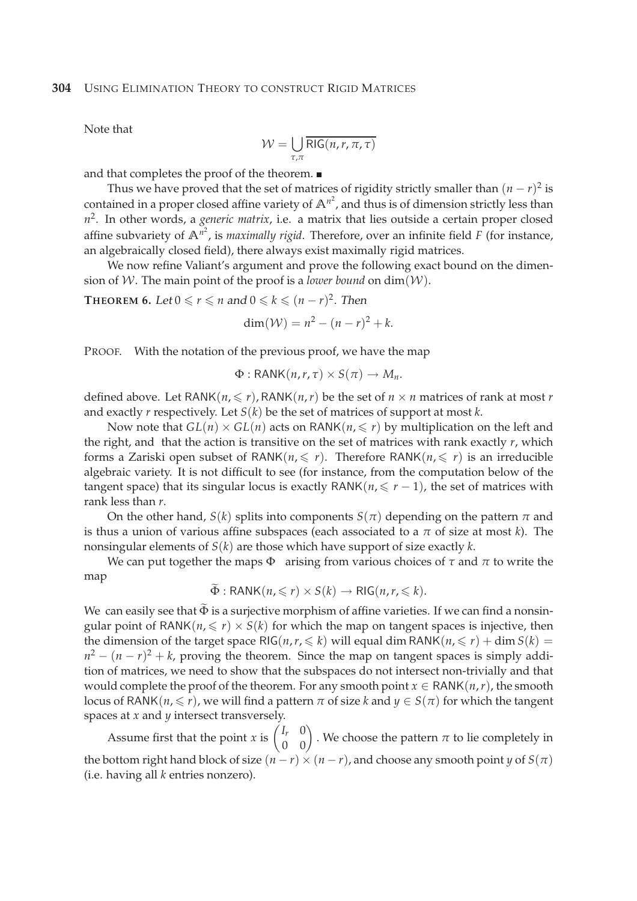Note that

$$
\mathcal{W} = \bigcup_{\tau,\pi} \overline{\text{RIG}(n,r,\pi,\tau)}
$$

and that completes the proof of the theorem.

Thus we have proved that the set of matrices of rigidity strictly smaller than  $(n - r)^2$  is contained in a proper closed affine variety of  $\mathbb{A}^{n^2}$ , and thus is of dimension strictly less than *n* 2 . In other words, a *generic matrix*, i.e. a matrix that lies outside a certain proper closed affine subvariety of **A***<sup>n</sup>* 2 , is *maximally rigid*. Therefore, over an infinite field *F* (for instance, an algebraically closed field), there always exist maximally rigid matrices.

We now refine Valiant's argument and prove the following exact bound on the dimension of W. The main point of the proof is a *lower bound* on  $\dim(W)$ .

**THEOREM 6.** Let  $0 \le r \le n$  and  $0 \le k \le (n - r)^2$ . Then

$$
\dim(\mathcal{W}) = n^2 - (n - r)^2 + k.
$$

PROOF. With the notation of the previous proof, we have the map

$$
\Phi: \mathsf{RANK}(n,r,\tau) \times S(\pi) \to M_n.
$$

defined above. Let RANK $(n, \leq r)$ , RANK $(n, r)$  be the set of  $n \times n$  matrices of rank at most *r* and exactly *r* respectively. Let *S*(*k*) be the set of matrices of support at most *k*.

Now note that  $GL(n) \times GL(n)$  acts on RANK $(n, \leq r)$  by multiplication on the left and the right, and that the action is transitive on the set of matrices with rank exactly *r*, which forms a Zariski open subset of RANK $(n, \leq r)$ . Therefore RANK $(n, \leq r)$  is an irreducible algebraic variety. It is not difficult to see (for instance, from the computation below of the tangent space) that its singular locus is exactly  $\text{RANK}(n, \leq r - 1)$ , the set of matrices with rank less than *r*.

On the other hand, *S*(*k*) splits into components *S*( $\pi$ ) depending on the pattern  $\pi$  and is thus a union of various affine subspaces (each associated to a *π* of size at most *k*). The nonsingular elements of *S*(*k*) are those which have support of size exactly *k*.

We can put together the maps  $\Phi$  arising from various choices of  $\tau$  and  $\pi$  to write the map

$$
\widetilde{\Phi}: \text{RANK}(n, \leqslant r) \times S(k) \to \text{RIG}(n, r, \leqslant k).
$$

We can easily see that  $\tilde{\Phi}$  is a surjective morphism of affine varieties. If we can find a nonsingular point of RANK( $n \leq r$ )  $\times$  *S*( $k$ ) for which the map on tangent spaces is injective, then the dimension of the target space RIG( $n, r \leq k$ ) will equal dim RANK( $n, \leq r$ ) + dim  $S(k)$  =  $n^2 - (n - r)^2 + k$ , proving the theorem. Since the map on tangent spaces is simply addition of matrices, we need to show that the subspaces do not intersect non-trivially and that would complete the proof of the theorem. For any smooth point  $x \in \text{RANK}(n,r)$ , the smooth locus of RANK( $n, \leq r$ ), we will find a pattern  $\pi$  of size  $k$  and  $y \in S(\pi)$  for which the tangent spaces at *x* and *y* intersect transversely.

Assume first that the point *x* is  $\begin{pmatrix} I_r & 0 \\ 0 & 0 \end{pmatrix}$ . We choose the pattern *π* to lie completely in the bottom right hand block of size  $(n - r) \times (n - r)$ , and choose any smooth point *y* of  $S(\pi)$ (i.e. having all *k* entries nonzero).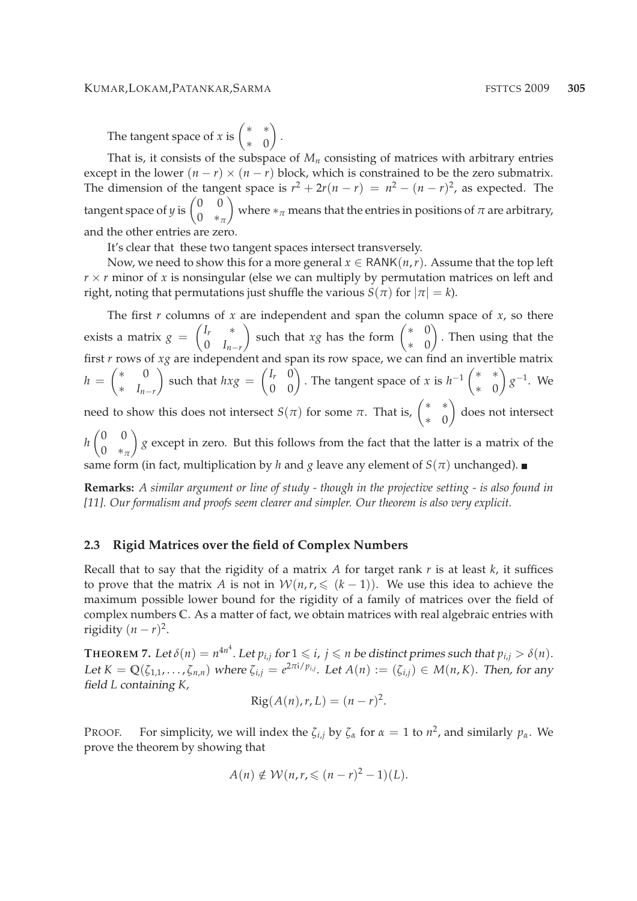#### KUMAR,LOKAM,PATANKAR,SARMA **FSTTCS** 2009 **305**

The tangent space of *x* is  $\begin{pmatrix} * & * \\ * & 0 \end{pmatrix}$ ∗ 0  $\setminus$ 

That is, it consists of the subspace of  $M<sub>n</sub>$  consisting of matrices with arbitrary entries except in the lower  $(n - r) \times (n - r)$  block, which is constrained to be the zero submatrix. The dimension of the tangent space is  $r^2 + 2r(n - r) = n^2 - (n - r)^2$ , as expected. The tangent space of *y* is  $\begin{pmatrix} 0 & 0 \\ 0 & 0 \end{pmatrix}$ 0 ∗*<sup>π</sup>*  $\setminus$ where  $*_\pi$  means that the entries in positions of  $\pi$  are arbitrary, and the other entries are zero.

It's clear that these two tangent spaces intersect transversely.

.

Now, we need to show this for a more general  $x \in \text{RANK}(n, r)$ . Assume that the top left  $r \times r$  minor of *x* is nonsingular (else we can multiply by permutation matrices on left and right, noting that permutations just shuffle the various  $S(\pi)$  for  $|\pi| = k$ ).

The first *r* columns of *x* are independent and span the column space of *x*, so there exists a matrix  $g =$  *I<sup>r</sup>* ∗  $\begin{bmatrix} 0 & I_{n-r} \\ 1 & 0 \end{bmatrix}$  $\int$  such that *xg* has the form  $\begin{pmatrix} * & 0 \\ 0 & 0 \end{pmatrix}$ ∗ 0  $\setminus$ . Then using that the first *r* rows of *xg* are independent and span its row space, we can find an invertible matrix  $h =$  ∗ 0 ∗ *In*−*<sup>r</sup>*  $\setminus$ such that  $h x g =$  $\begin{pmatrix} I_r & 0 \\ 0 & 0 \end{pmatrix}$ . The tangent space of *x* is *h*<sup>-1</sup>  $\begin{pmatrix} * & * \\ * & 0 \end{pmatrix}$ ∗ 0  $\setminus$ *g* −1 . We need to show this does not intersect  $S(\pi)$  for some  $\pi$ . That is,  $\begin{pmatrix} * & * \\ * & 0 \end{pmatrix}$ ∗ 0  $\setminus$ does not intersect  $(0 0)$  $\setminus$ 

*h* 0 ∗*<sup>π</sup> g* except in zero. But this follows from the fact that the latter is a matrix of the same form (in fact, multiplication by *h* and *g* leave any element of  $S(\pi)$  unchanged).

**Remarks:** *A similar argument or line of study - though in the projective setting - is also found in [11]. Our formalism and proofs seem clearer and simpler. Our theorem is also very explicit.*

#### **2.3 Rigid Matrices over the field of Complex Numbers**

Recall that to say that the rigidity of a matrix *A* for target rank *r* is at least *k*, it suffices to prove that the matrix *A* is not in  $W(n, r, \leq (k-1))$ . We use this idea to achieve the maximum possible lower bound for the rigidity of a family of matrices over the field of complex numbers **C**. As a matter of fact, we obtain matrices with real algebraic entries with rigidity  $(n - r)^2$ .

 $\bf{THEOREM 7.}$  Let  $\delta(n) = n^{4n^4}.$  Let  $p_{i,j}$  for  $1 \leqslant i,\,j \leqslant n$  be distinct primes such that  $p_{i,j} > \delta(n).$ Let  $K = \mathbb{Q}(\zeta_{1,1},\ldots,\zeta_{n,n})$  where  $\zeta_{i,j} = e^{2\pi i/p_{i,j}}$ . Let  $A(n) := (\zeta_{i,j}) \in M(n,K)$ . Then, for any field *L* containing *K*,

$$
Rig(A(n),r,L)=(n-r)^2.
$$

PROOF. For simplicity, we will index the  $\zeta_{i,j}$  by  $\zeta_\alpha$  for  $\alpha = 1$  to  $n^2$ , and similarly  $p_\alpha$ . We prove the theorem by showing that

$$
A(n) \notin \mathcal{W}(n, r, \leqslant (n-r)^2 - 1)(L).
$$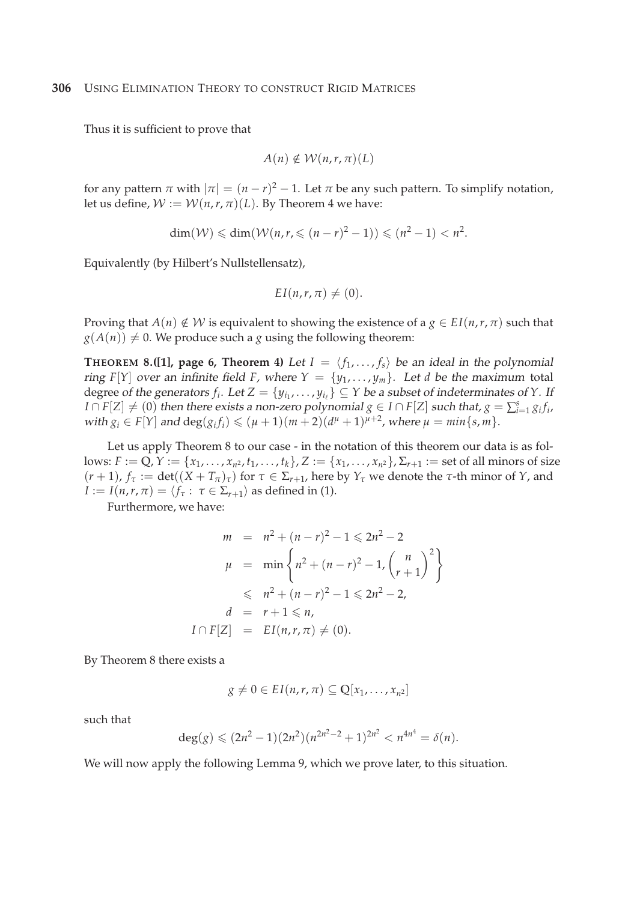Thus it is sufficient to prove that

$$
A(n) \notin \mathcal{W}(n,r,\pi)(L)
$$

for any pattern  $\pi$  with  $|\pi| = (n - r)^2 - 1$ . Let  $\pi$  be any such pattern. To simplify notation, let us define,  $W := W(n, r, \pi)(L)$ . By Theorem 4 we have:

$$
\dim(W) \leq \dim(W(n, r, \leq (n-r)^2 - 1)) \leq (n^2 - 1) < n^2.
$$

Equivalently (by Hilbert's Nullstellensatz),

$$
EI(n,r,\pi) \neq (0).
$$

Proving that  $A(n) \notin W$  is equivalent to showing the existence of a  $g \in EI(n,r,\pi)$  such that  $g(A(n)) \neq 0$ . We produce such a *g* using the following theorem:

**THEOREM 8.([1], page 6, Theorem 4)** Let  $I = \langle f_1, \ldots, f_s \rangle$  be an ideal in the polynomial ring *F*[*Y*] over an infinite field *F*, where  $Y = \{y_1, \ldots, y_m\}$ . Let *d* be the maximum total degree of the generators  $f_i$ . Let  $Z = \{y_{i_1}, \ldots, y_{i_\ell}\} \subseteq Y$  be a subset of indeterminates of  $Y$ . If  $I \cap F[Z] \neq (0)$  then there exists a non-zero polynomial  $g \in I \cap F[Z]$  such that,  $g = \sum_{i=1}^{s} g_i f_i$ , with  $g_i \in F[Y]$  and  $\deg(g_i f_i) \leq (\mu + 1)(m + 2)(d^{\mu} + 1)^{\mu+2}$ , where  $\mu = \min\{s, m\}$ .

Let us apply Theorem 8 to our case - in the notation of this theorem our data is as follows:  $F := \mathbb{Q}, Y := \{x_1, \dots, x_{n^2}, t_1, \dots, t_k\}, Z := \{x_1, \dots, x_{n^2}\}, \Sigma_{r+1} := \text{set of all minors of size } \{x_1, \dots, x_{n^2}\}$  $(r+1)$ ,  $f_\tau := \det((X+T_\pi)_\tau)$  for  $\tau \in \Sigma_{r+1}$ , here by  $Y_\tau$  we denote the  $\tau$ -th minor of  $Y$ , and *I* := *I*(*n*,*r*, *π*) =  $\langle f_\tau : \tau \in \Sigma_{r+1} \rangle$  as defined in (1).

Furthermore, we have:

$$
m = n^{2} + (n - r)^{2} - 1 \le 2n^{2} - 2
$$
  
\n
$$
\mu = \min \left\{ n^{2} + (n - r)^{2} - 1, \binom{n}{r + 1}^{2} \right\}
$$
  
\n
$$
\le n^{2} + (n - r)^{2} - 1 \le 2n^{2} - 2,
$$
  
\n
$$
d = r + 1 \le n,
$$
  
\n
$$
I \cap F[Z] = EI(n, r, \pi) \neq (0).
$$

By Theorem 8 there exists a

$$
g \neq 0 \in EI(n,r,\pi) \subseteq \mathbb{Q}[x_1,\ldots,x_{n^2}]
$$

such that

$$
\deg(g) \leqslant (2n^2 - 1)(2n^2)(n^{2n^2 - 2} + 1)^{2n^2} < n^{4n^4} = \delta(n).
$$

We will now apply the following Lemma 9, which we prove later, to this situation.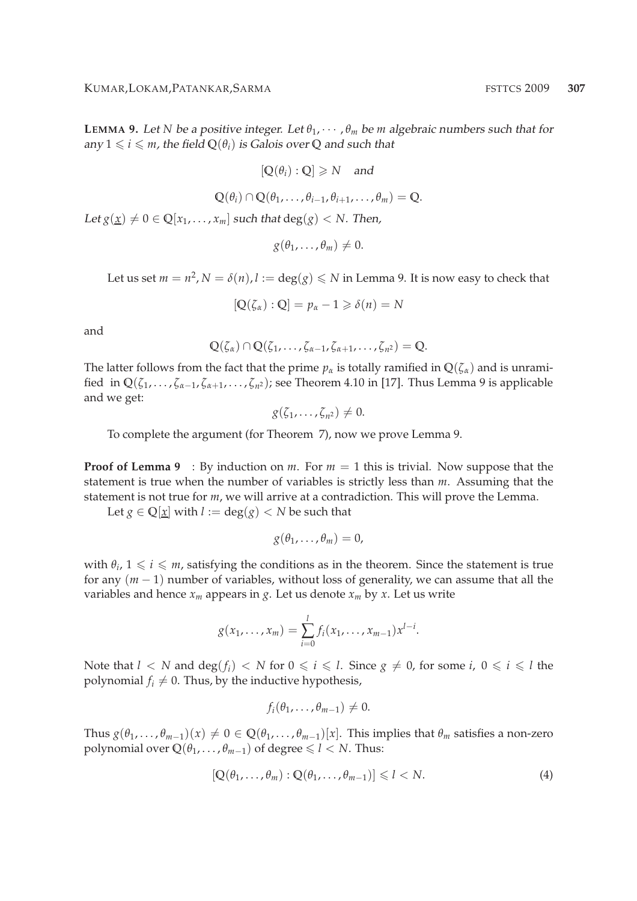**LEMMA** 9. Let *N* be a positive integer. Let  $\theta_1, \dots, \theta_m$  be *m* algebraic numbers such that for any  $1 \leq i \leq m$ , the field  $Q(\theta_i)$  is Galois over Q and such that

$$
[\mathbb{Q}(\theta_i):\mathbb{Q}]\geq N \quad \text{and} \quad
$$

$$
\mathbb{Q}(\theta_i) \cap \mathbb{Q}(\theta_1,\ldots,\theta_{i-1},\theta_{i+1},\ldots,\theta_m) = \mathbb{Q}.
$$

Let  $g(\underline{x}) \neq 0 \in \mathbb{Q}[x_1, \ldots, x_m]$  such that  $deg(g) < N$ . Then,

$$
g(\theta_1,\ldots,\theta_m)\neq 0.
$$

Let us set  $m = n^2$ ,  $N = \delta(n)$ ,  $l := \deg(g) \le N$  in Lemma 9. It is now easy to check that

$$
[Q(\zeta_{\alpha}):Q]=p_{\alpha}-1\geqslant \delta(n)=N
$$

and

$$
\mathbb{Q}(\zeta_{\alpha})\cap\mathbb{Q}(\zeta_1,\ldots,\zeta_{\alpha-1},\zeta_{\alpha+1},\ldots,\zeta_{n^2})=\mathbb{Q}.
$$

The latter follows from the fact that the prime  $p_\alpha$  is totally ramified in  $\mathbb{Q}(\zeta_\alpha)$  and is unramified in  $\mathbb{Q}(\zeta_1,\ldots,\zeta_{\alpha-1},\zeta_{\alpha+1},\ldots,\zeta_{n^2})$ ; see Theorem 4.10 in [17]. Thus Lemma 9 is applicable and we get:

$$
g(\zeta_1,\ldots,\zeta_{n^2})\neq 0.
$$

To complete the argument (for Theorem 7), now we prove Lemma 9.

**Proof of Lemma 9** : By induction on *m*. For  $m = 1$  this is trivial. Now suppose that the statement is true when the number of variables is strictly less than *m*. Assuming that the statement is not true for *m*, we will arrive at a contradiction. This will prove the Lemma.

Let  $g \in \mathbb{Q}[\underline{x}]$  with  $l := \deg(g) < N$  be such that

$$
g(\theta_1,\ldots,\theta_m)=0,
$$

with  $\theta_i$ ,  $1 \leq i \leq m$ , satisfying the conditions as in the theorem. Since the statement is true for any (*m* − 1) number of variables, without loss of generality, we can assume that all the variables and hence  $x_m$  appears in *g*. Let us denote  $x_m$  by *x*. Let us write

$$
g(x_1,...,x_m)=\sum_{i=0}^l f_i(x_1,...,x_{m-1})x^{l-i}.
$$

Note that  $l < N$  and  $\deg(f_i) < N$  for  $0 \leq i \leq l$ . Since  $g \neq 0$ , for some *i*,  $0 \leq i \leq l$  the polynomial  $f_i \neq 0$ . Thus, by the inductive hypothesis,

$$
f_i(\theta_1,\ldots,\theta_{m-1})\neq 0.
$$

Thus  $g(\theta_1,\ldots,\theta_{m-1})(x) \neq 0 \in \mathbb{Q}(\theta_1,\ldots,\theta_{m-1})[x]$ . This implies that  $\theta_m$  satisfies a non-zero polynomial over  $\mathbb{Q}(\theta_1, \dots, \theta_{m-1})$  of degree  $\leq l < N$ . Thus:

$$
[\mathbb{Q}(\theta_1,\ldots,\theta_m):\mathbb{Q}(\theta_1,\ldots,\theta_{m-1})] \leq l < N. \tag{4}
$$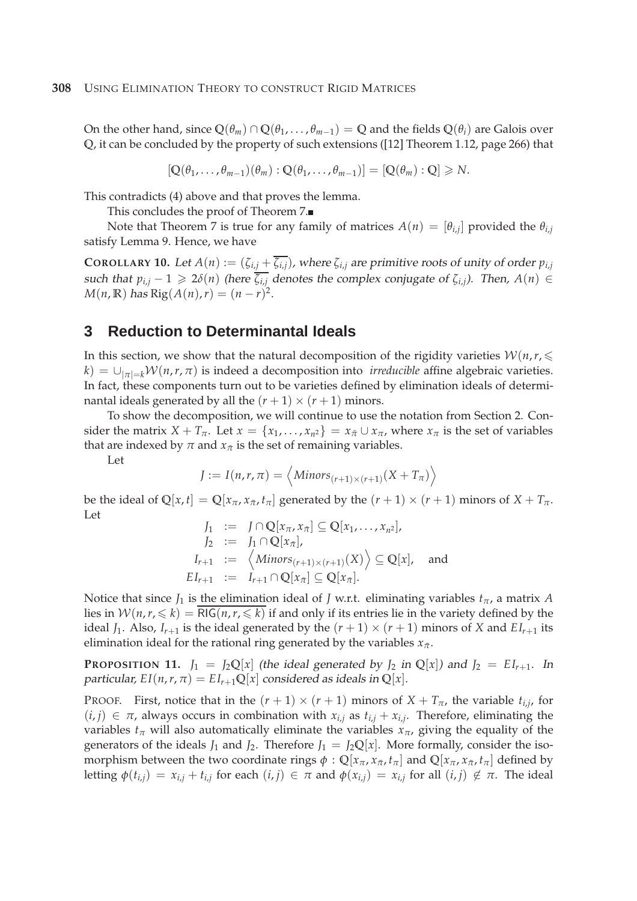On the other hand, since  $\mathbb{Q}(\theta_m) \cap \mathbb{Q}(\theta_1,\dots,\theta_{m-1}) = \mathbb{Q}$  and the fields  $\mathbb{Q}(\theta_i)$  are Galois over **Q**, it can be concluded by the property of such extensions ([12] Theorem 1.12, page 266) that

$$
[\mathbb{Q}(\theta_1,\ldots,\theta_{m-1})(\theta_m):\mathbb{Q}(\theta_1,\ldots,\theta_{m-1})]=[\mathbb{Q}(\theta_m):\mathbb{Q}]\geq N.
$$

This contradicts (4) above and that proves the lemma.

This concludes the proof of Theorem 7.

Note that Theorem 7 is true for any family of matrices  $A(n) = [\theta_{i,j}]$  provided the  $\theta_{i,j}$ satisfy Lemma 9. Hence, we have

**COROLLARY 10.** Let  $A(n) := (\zeta_{i,j} + \overline{\zeta_{i,j}})$ , where  $\zeta_{i,j}$  are primitive roots of unity of order  $p_{i,j}$ such that  $p_{i,j} - 1 \geq 2\delta(n)$  (here  $\overline{\zeta_{i,j}}$  denotes the complex conjugate of  $\zeta_{i,j}$ ). Then,  $A(n) \in$ *M*(*n*, **R**) has Rig(*A*(*n*), *r*) =  $(n - r)^2$ .

### **3 Reduction to Determinantal Ideals**

In this section, we show that the natural decomposition of the rigidity varieties  $W(n,r, \leq$  $k$ ) =  $\bigcup_{|\pi|=k} \mathcal{W}(n,r,\pi)$  is indeed a decomposition into *irreducible* affine algebraic varieties. In fact, these components turn out to be varieties defined by elimination ideals of determinantal ideals generated by all the  $(r + 1) \times (r + 1)$  minors.

To show the decomposition, we will continue to use the notation from Section 2. Consider the matrix  $X + T_{\pi}$ . Let  $x = \{x_1, \ldots, x_{n^2}\} = x_{\bar{\pi}} \cup x_{\pi}$ , where  $x_{\pi}$  is the set of variables that are indexed by  $\pi$  and  $x_{\bar{\pi}}$  is the set of remaining variables.

Let

$$
J := I(n,r,\pi) = \langle \text{Minors}_{(r+1)\times(r+1)}(X+T_{\pi}) \rangle
$$

be the ideal of  $\mathbb{Q}[x,t] = \mathbb{Q}[x_{\pi}, x_{\bar{\pi}}, t_{\pi}]$  generated by the  $(r+1) \times (r+1)$  minors of  $X + T_{\pi}$ . Let

$$
J_1 := J \cap \mathbb{Q}[x_{\pi}, x_{\bar{\pi}}] \subseteq \mathbb{Q}[x_1, \dots, x_{n^2}],
$$
  
\n
$$
J_2 := J_1 \cap \mathbb{Q}[x_{\bar{\pi}}],
$$
  
\n
$$
I_{r+1} := \langle \text{Minors}_{(r+1) \times (r+1)}(X) \rangle \subseteq \mathbb{Q}[x],
$$
 and  
\n
$$
EI_{r+1} := I_{r+1} \cap \mathbb{Q}[x_{\bar{\pi}}] \subseteq \mathbb{Q}[x_{\bar{\pi}}].
$$

Notice that since  $J_1$  is the elimination ideal of *J* w.r.t. eliminating variables  $t_\pi$ , a matrix *A* lies in  $W(n,r, \leq k) = RIG(n, r, \leq k)$  if and only if its entries lie in the variety defined by the ideal  $J_1$ . Also,  $I_{r+1}$  is the ideal generated by the  $(r+1) \times (r+1)$  minors of *X* and  $EI_{r+1}$  its elimination ideal for the rational ring generated by the variables  $x_{\bar{\pi}}.$ 

**PROPOSITION 11.**  $J_1 = J_2 \mathbb{Q}[x]$  (the ideal generated by  $J_2$  in  $\mathbb{Q}[x]$ ) and  $J_2 = EI_{r+1}$ . In particular,  $EI(n, r, \pi) = EI_{r+1}Q[x]$  considered as ideals in  $Q[x]$ .

PROOF. First, notice that in the  $(r + 1) \times (r + 1)$  minors of  $X + T_{\pi}$ , the variable  $t_{i,j}$ , for  $(i, j) \in \pi$ , always occurs in combination with  $x_{i,j}$  as  $t_{i,j} + x_{i,j}$ . Therefore, eliminating the variables  $t_\pi$  will also automatically eliminate the variables  $x_\pi$ , giving the equality of the generators of the ideals  $J_1$  and  $J_2$ . Therefore  $J_1 = J_2 \mathbb{Q}[x]$ . More formally, consider the isomorphism between the two coordinate rings  $\phi: \mathbb{Q}[x_\pi, x_{\bar{\pi}}, t_\pi]$  and  $\mathbb{Q}[x_\pi, x_{\bar{\pi}}, t_\pi]$  defined by letting  $\phi(t_{i,j}) = x_{i,j} + t_{i,j}$  for each  $(i,j) \in \pi$  and  $\phi(x_{i,j}) = x_{i,j}$  for all  $(i,j) \notin \pi$ . The ideal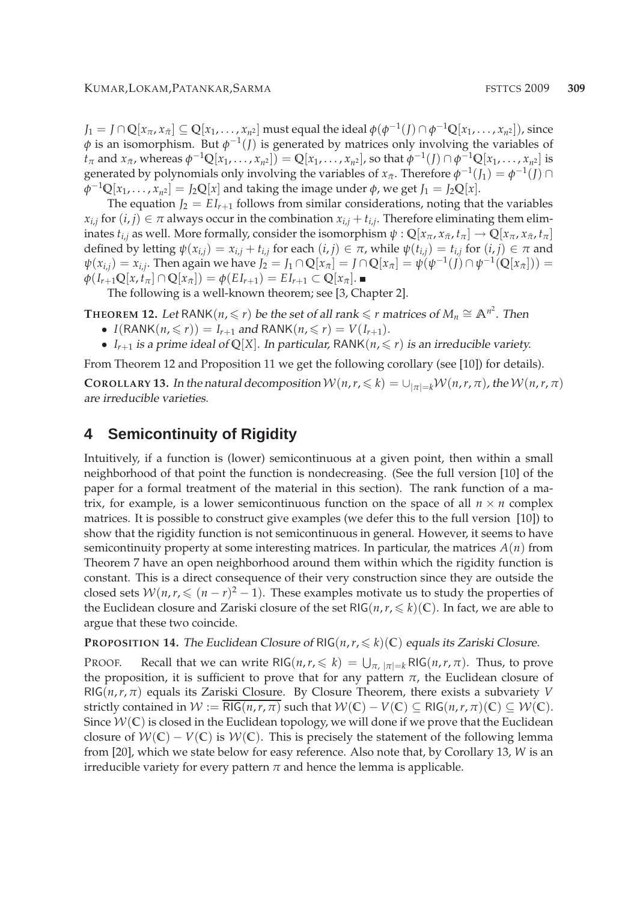$J_1=J\cap {\mathbb Q}[x_{\pi},x_{\bar{\pi}}]\subseteq {\mathbb Q}[x_1,\ldots,x_{n^2}]$  must equal the ideal  $\phi(\phi^{-1}(J)\cap\phi^{-1}{\mathbb Q}[x_1,\ldots,x_{n^2}]),$  since  $\phi$  is an isomorphism. But  $\phi^{-1}(J)$  is generated by matrices only involving the variables of  $t_{\pi}$  and  $x_{\bar{\pi}}$ , whereas  $\phi^{-1}\mathbb{Q}[x_1,\ldots,x_{n^2}]) = \mathbb{Q}[x_1,\ldots,x_{n^2}]$ , so that  $\phi^{-1}(J) \cap \phi^{-1}\mathbb{Q}[x_1,\ldots,x_{n^2}]$  is generated by polynomials only involving the variables of  $x_{\bar{\pi}}$ . Therefore  $\phi^{-1}(J_1) = \phi^{-1}(J) \cap$  $\phi^{-1}Q[x_1,\ldots,x_{n^2}] = J_2Q[x]$  and taking the image under  $\phi$ , we get  $J_1 = J_2Q[x]$ .

The equation  $J_2 = EI_{r+1}$  follows from similar considerations, noting that the variables  $x_{i,j}$  for  $(i,j) \in \pi$  always occur in the combination  $x_{i,j} + t_{i,j}$ . Therefore eliminating them elim- $\phi: \mathbb{Q}[x_{\pi}, x_{\bar{\pi}}, t_{\pi}] \to \mathbb{Q}[x_{\pi}, x_{\bar{\pi}}, t_{\pi}]$ defined by letting  $\psi(x_{i,j}) = x_{i,j} + t_{i,j}$  for each  $(i, j) \in \pi$ , while  $\psi(t_{i,j}) = t_{i,j}$  for  $(i, j) \in \pi$  and  $\psi(x_{i,j}) = x_{i,j}$ . Then again we have  $J_2 = J_1 \cap \mathbb{Q}[x_{\bar{\pi}}] = J \cap \mathbb{Q}[x_{\bar{\pi}}] = \psi(\psi^{-1}(J) \cap \psi^{-1}(\mathbb{Q}[x_{\bar{\pi}}])) =$  $\phi(I_{r+1}\mathbb{Q}[x,t_{\pi}]\cap\mathbb{Q}[x_{\bar{\pi}}]) = \phi(EI_{r+1}) = EI_{r+1} \subset \mathbb{Q}[x_{\bar{\pi}}].$ 

The following is a well-known theorem; see [3, Chapter 2].

<code>THEOREM</code> 12. Let <code>RANK( $n, \leqslant r$ )</code> be the set of all rank  $\leqslant r$  matrices of  $M_n \cong \mathbb{A}^{n^2}.$  Then

- *I*(RANK(*n*,  $\leq r$ )) = *I*<sub>*r*+1</sub> and RANK(*n*,  $\leq r$ ) = *V*(*I*<sub>*r*+1</sub>).
- $I_{r+1}$  is a prime ideal of Q[X]. In particular, RANK( $n, \leq r$ ) is an irreducible variety.

From Theorem 12 and Proposition 11 we get the following corollary (see [10]) for details).

**COROLLARY 13.** In the natural decomposition  $W(n,r, \leq k) = \bigcup_{|\pi|=k} W(n,r,\pi)$ , the  $W(n,r,\pi)$ are irreducible varieties.

## **4 Semicontinuity of Rigidity**

Intuitively, if a function is (lower) semicontinuous at a given point, then within a small neighborhood of that point the function is nondecreasing. (See the full version [10] of the paper for a formal treatment of the material in this section). The rank function of a matrix, for example, is a lower semicontinuous function on the space of all  $n \times n$  complex matrices. It is possible to construct give examples (we defer this to the full version [10]) to show that the rigidity function is not semicontinuous in general. However, it seems to have semicontinuity property at some interesting matrices. In particular, the matrices *A*(*n*) from Theorem 7 have an open neighborhood around them within which the rigidity function is constant. This is a direct consequence of their very construction since they are outside the closed sets  $W(n,r, \leq (n-r)^2 - 1)$ . These examples motivate us to study the properties of the Euclidean closure and Zariski closure of the set  $RIG(n, r, \leq k)(\mathbb{C})$ . In fact, we are able to argue that these two coincide.

**PROPOSITION 14.** The Euclidean Closure of RIG( $n, r \leq k$ )(C) equals its Zariski Closure.

PROOF. Recall that we can write RIG( $n, r \leq k$ ) =  $\bigcup_{\pi, |\pi|=k}$  RIG( $n, r, \pi$ ). Thus, to prove the proposition, it is sufficient to prove that for any pattern  $\pi$ , the Euclidean closure of  $RIG(n, r, \pi)$  equals its Zariski Closure. By Closure Theorem, there exists a subvariety *V* strictly contained in  $W := \text{RIG}(n, r, \pi)$  such that  $W(\mathbb{C}) - V(\mathbb{C}) \subseteq \text{RIG}(n, r, \pi)(\mathbb{C}) \subseteq W(\mathbb{C})$ . Since  $W(\mathbb{C})$  is closed in the Euclidean topology, we will done if we prove that the Euclidean closure of  $W(\mathbb{C}) - V(\mathbb{C})$  is  $W(\mathbb{C})$ . This is precisely the statement of the following lemma from [20], which we state below for easy reference. Also note that, by Corollary 13, *W* is an irreducible variety for every pattern  $\pi$  and hence the lemma is applicable.